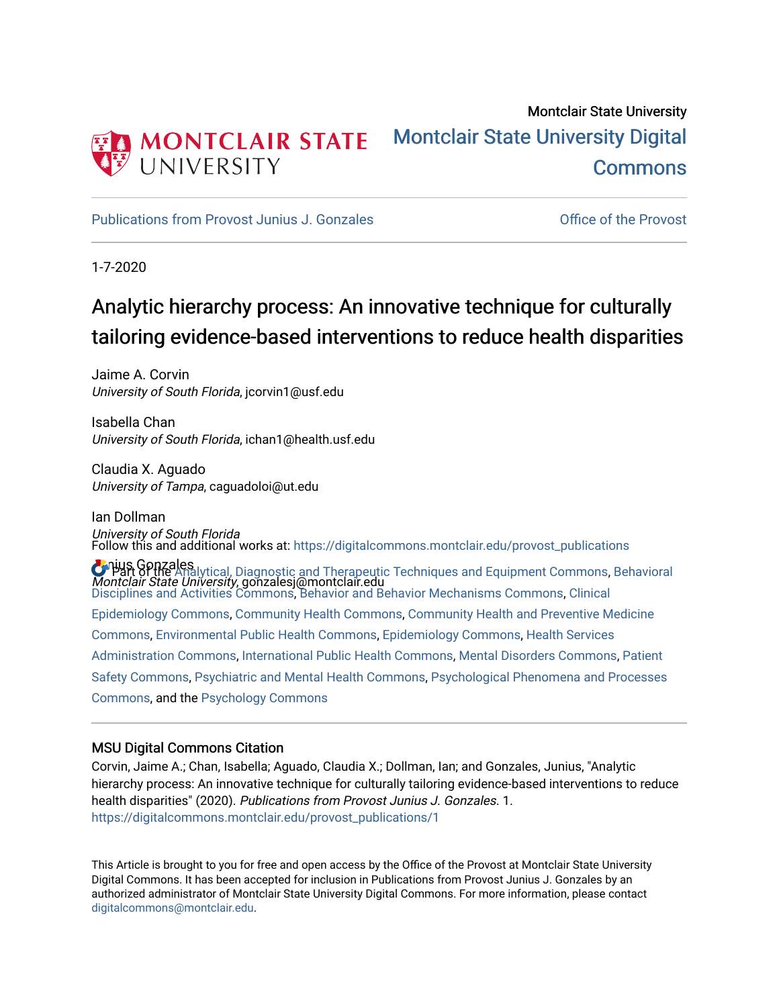

# Montclair State University [Montclair State University Digital](https://digitalcommons.montclair.edu/)  [Commons](https://digitalcommons.montclair.edu/)

[Publications from Provost Junius J. Gonzales](https://digitalcommons.montclair.edu/provost_publications) **Communist Contract Contract Contract Contract Contract Contract Contract Contract Contract Contract Contract Contract Contract Contract Contract Contract Contract Contract Cont** 

1-7-2020

# Analytic hierarchy process: An innovative technique for culturally tailoring evidence-based interventions to reduce health disparities

Jaime A. Corvin University of South Florida, jcorvin1@usf.edu

Isabella Chan University of South Florida, ichan1@health.usf.edu

Claudia X. Aguado University of Tampa, caguadoloi@ut.edu

Ian Dollman University of South Florida **J**unius Gonzales **U Part of the Ana**lytical, Diagnostic and Therapeutic Techniques and Equipment Commons, Behavioral<br>Montclair State University, gonzalesj@montclair.edu Follow this and additional works at: [https://digitalcommons.montclair.edu/provost\\_publications](https://digitalcommons.montclair.edu/provost_publications?utm_source=digitalcommons.montclair.edu%2Fprovost_publications%2F1&utm_medium=PDF&utm_campaign=PDFCoverPages)  [Disciplines and Activities Commons](http://network.bepress.com/hgg/discipline/980?utm_source=digitalcommons.montclair.edu%2Fprovost_publications%2F1&utm_medium=PDF&utm_campaign=PDFCoverPages), [Behavior and Behavior Mechanisms Commons](http://network.bepress.com/hgg/discipline/963?utm_source=digitalcommons.montclair.edu%2Fprovost_publications%2F1&utm_medium=PDF&utm_campaign=PDFCoverPages), [Clinical](http://network.bepress.com/hgg/discipline/815?utm_source=digitalcommons.montclair.edu%2Fprovost_publications%2F1&utm_medium=PDF&utm_campaign=PDFCoverPages)  [Epidemiology Commons,](http://network.bepress.com/hgg/discipline/815?utm_source=digitalcommons.montclair.edu%2Fprovost_publications%2F1&utm_medium=PDF&utm_campaign=PDFCoverPages) [Community Health Commons](http://network.bepress.com/hgg/discipline/714?utm_source=digitalcommons.montclair.edu%2Fprovost_publications%2F1&utm_medium=PDF&utm_campaign=PDFCoverPages), [Community Health and Preventive Medicine](http://network.bepress.com/hgg/discipline/744?utm_source=digitalcommons.montclair.edu%2Fprovost_publications%2F1&utm_medium=PDF&utm_campaign=PDFCoverPages) [Commons](http://network.bepress.com/hgg/discipline/744?utm_source=digitalcommons.montclair.edu%2Fprovost_publications%2F1&utm_medium=PDF&utm_campaign=PDFCoverPages), [Environmental Public Health Commons](http://network.bepress.com/hgg/discipline/739?utm_source=digitalcommons.montclair.edu%2Fprovost_publications%2F1&utm_medium=PDF&utm_campaign=PDFCoverPages), [Epidemiology Commons](http://network.bepress.com/hgg/discipline/740?utm_source=digitalcommons.montclair.edu%2Fprovost_publications%2F1&utm_medium=PDF&utm_campaign=PDFCoverPages), [Health Services](http://network.bepress.com/hgg/discipline/747?utm_source=digitalcommons.montclair.edu%2Fprovost_publications%2F1&utm_medium=PDF&utm_campaign=PDFCoverPages) [Administration Commons,](http://network.bepress.com/hgg/discipline/747?utm_source=digitalcommons.montclair.edu%2Fprovost_publications%2F1&utm_medium=PDF&utm_campaign=PDFCoverPages) [International Public Health Commons](http://network.bepress.com/hgg/discipline/746?utm_source=digitalcommons.montclair.edu%2Fprovost_publications%2F1&utm_medium=PDF&utm_campaign=PDFCoverPages), [Mental Disorders Commons](http://network.bepress.com/hgg/discipline/968?utm_source=digitalcommons.montclair.edu%2Fprovost_publications%2F1&utm_medium=PDF&utm_campaign=PDFCoverPages), [Patient](http://network.bepress.com/hgg/discipline/1410?utm_source=digitalcommons.montclair.edu%2Fprovost_publications%2F1&utm_medium=PDF&utm_campaign=PDFCoverPages) [Safety Commons,](http://network.bepress.com/hgg/discipline/1410?utm_source=digitalcommons.montclair.edu%2Fprovost_publications%2F1&utm_medium=PDF&utm_campaign=PDFCoverPages) [Psychiatric and Mental Health Commons](http://network.bepress.com/hgg/discipline/711?utm_source=digitalcommons.montclair.edu%2Fprovost_publications%2F1&utm_medium=PDF&utm_campaign=PDFCoverPages), [Psychological Phenomena and Processes](http://network.bepress.com/hgg/discipline/914?utm_source=digitalcommons.montclair.edu%2Fprovost_publications%2F1&utm_medium=PDF&utm_campaign=PDFCoverPages)  [Commons](http://network.bepress.com/hgg/discipline/914?utm_source=digitalcommons.montclair.edu%2Fprovost_publications%2F1&utm_medium=PDF&utm_campaign=PDFCoverPages), and the [Psychology Commons](http://network.bepress.com/hgg/discipline/404?utm_source=digitalcommons.montclair.edu%2Fprovost_publications%2F1&utm_medium=PDF&utm_campaign=PDFCoverPages) 

## MSU Digital Commons Citation

Corvin, Jaime A.; Chan, Isabella; Aguado, Claudia X.; Dollman, Ian; and Gonzales, Junius, "Analytic hierarchy process: An innovative technique for culturally tailoring evidence-based interventions to reduce health disparities" (2020). Publications from Provost Junius J. Gonzales. 1. [https://digitalcommons.montclair.edu/provost\\_publications/1](https://digitalcommons.montclair.edu/provost_publications/1?utm_source=digitalcommons.montclair.edu%2Fprovost_publications%2F1&utm_medium=PDF&utm_campaign=PDFCoverPages) 

This Article is brought to you for free and open access by the Office of the Provost at Montclair State University Digital Commons. It has been accepted for inclusion in Publications from Provost Junius J. Gonzales by an authorized administrator of Montclair State University Digital Commons. For more information, please contact [digitalcommons@montclair.edu.](mailto:digitalcommons@montclair.edu)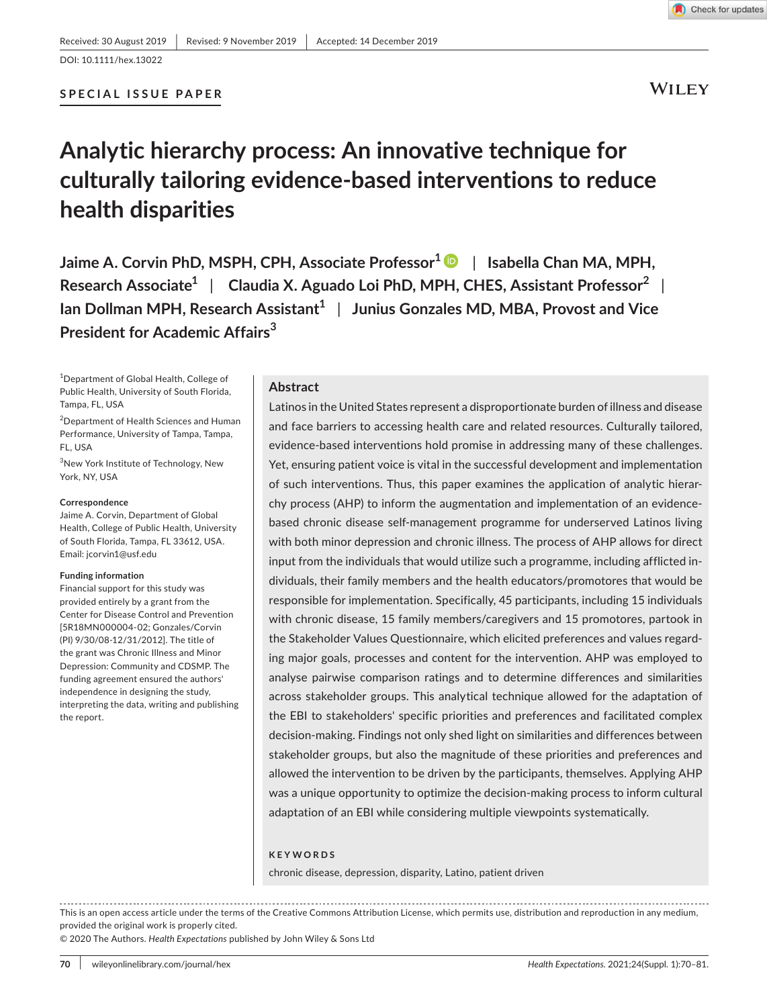#### **SPECIAL ISSUE PAPER**



**WILEY** 

# **Analytic hierarchy process: An innovative technique for culturally tailoring evidence-based interventions to reduce health disparities**

**Jaime A. Corvin PhD, MSPH, CPH, Associate Professor<sup>1</sup> | Isabella Chan MA, MPH, Research Associate1** | **Claudia X. Aguado Loi PhD, MPH, CHES, Assistant Professor<sup>2</sup>** | **Ian Dollman MPH, Research Assistant<sup>1</sup> | Junius Gonzales MD, MBA, Provost and Vice President for Academic Affairs<sup>3</sup>**

1 Department of Global Health, College of Public Health, University of South Florida, Tampa, FL, USA

2 Department of Health Sciences and Human Performance, University of Tampa, Tampa, FL, USA

3 New York Institute of Technology, New York, NY, USA

#### **Correspondence**

Jaime A. Corvin, Department of Global Health, College of Public Health, University of South Florida, Tampa, FL 33612, USA. Email: [jcorvin1@usf.edu](mailto:jcorvin1@usf.edu)

#### **Funding information**

Financial support for this study was provided entirely by a grant from the Center for Disease Control and Prevention [5R18MN000004-02; Gonzales/Corvin (PI) 9/30/08-12/31/2012]. The title of the grant was Chronic Illness and Minor Depression: Community and CDSMP. The funding agreement ensured the authors' independence in designing the study, interpreting the data, writing and publishing the report.

## **Abstract**

Latinos in the United States represent a disproportionate burden of illness and disease and face barriers to accessing health care and related resources. Culturally tailored, evidence-based interventions hold promise in addressing many of these challenges. Yet, ensuring patient voice is vital in the successful development and implementation of such interventions. Thus, this paper examines the application of analytic hierarchy process (AHP) to inform the augmentation and implementation of an evidencebased chronic disease self-management programme for underserved Latinos living with both minor depression and chronic illness. The process of AHP allows for direct input from the individuals that would utilize such a programme, including afflicted individuals, their family members and the health educators/promotores that would be responsible for implementation. Specifically, 45 participants, including 15 individuals with chronic disease, 15 family members/caregivers and 15 promotores, partook in the Stakeholder Values Questionnaire, which elicited preferences and values regarding major goals, processes and content for the intervention. AHP was employed to analyse pairwise comparison ratings and to determine differences and similarities across stakeholder groups. This analytical technique allowed for the adaptation of the EBI to stakeholders' specific priorities and preferences and facilitated complex decision-making. Findings not only shed light on similarities and differences between stakeholder groups, but also the magnitude of these priorities and preferences and allowed the intervention to be driven by the participants, themselves. Applying AHP was a unique opportunity to optimize the decision-making process to inform cultural adaptation of an EBI while considering multiple viewpoints systematically.

#### **KEYWORDS**

chronic disease, depression, disparity, Latino, patient driven

This is an open access article under the terms of the [Creative Commons Attribution](http://creativecommons.org/licenses/by/4.0/) License, which permits use, distribution and reproduction in any medium, provided the original work is properly cited.

© 2020 The Authors. *Health Expectations* published by John Wiley & Sons Ltd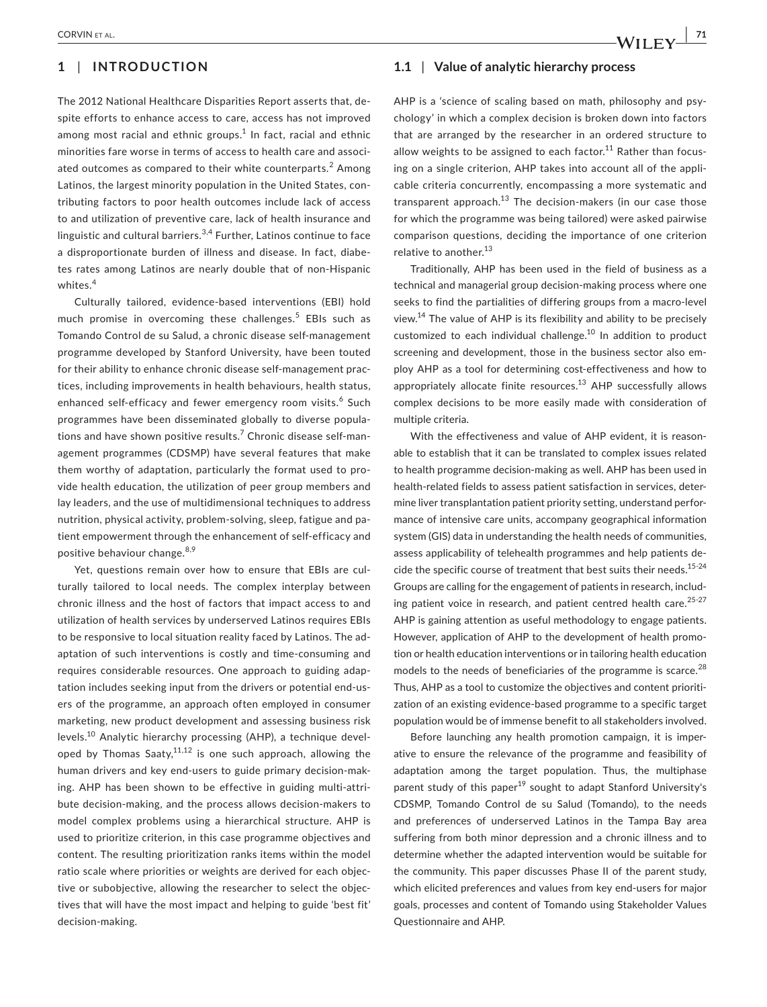## **1** | **INTRODUCTION**

The 2012 National Healthcare Disparities Report asserts that, despite efforts to enhance access to care, access has not improved among most racial and ethnic groups. $^1$  In fact, racial and ethnic minorities fare worse in terms of access to health care and associated outcomes as compared to their white counterparts. $^2$  Among Latinos, the largest minority population in the United States, contributing factors to poor health outcomes include lack of access to and utilization of preventive care, lack of health insurance and linguistic and cultural barriers.  $3,4$  Further, Latinos continue to face a disproportionate burden of illness and disease. In fact, diabetes rates among Latinos are nearly double that of non-Hispanic whites.<sup>4</sup>

Culturally tailored, evidence-based interventions (EBI) hold much promise in overcoming these challenges.<sup>5</sup> EBIs such as Tomando Control de su Salud, a chronic disease self-management programme developed by Stanford University, have been touted for their ability to enhance chronic disease self-management practices, including improvements in health behaviours, health status, enhanced self-efficacy and fewer emergency room visits.<sup>6</sup> Such programmes have been disseminated globally to diverse populations and have shown positive results.<sup>7</sup> Chronic disease self-management programmes (CDSMP) have several features that make them worthy of adaptation, particularly the format used to provide health education, the utilization of peer group members and lay leaders, and the use of multidimensional techniques to address nutrition, physical activity, problem-solving, sleep, fatigue and patient empowerment through the enhancement of self-efficacy and positive behaviour change.<sup>8,9</sup>

Yet, questions remain over how to ensure that EBIs are culturally tailored to local needs. The complex interplay between chronic illness and the host of factors that impact access to and utilization of health services by underserved Latinos requires EBIs to be responsive to local situation reality faced by Latinos. The adaptation of such interventions is costly and time-consuming and requires considerable resources. One approach to guiding adaptation includes seeking input from the drivers or potential end-users of the programme, an approach often employed in consumer marketing, new product development and assessing business risk levels.10 Analytic hierarchy processing (AHP), a technique developed by Thomas Saaty, $11,12$  is one such approach, allowing the human drivers and key end-users to guide primary decision-making. AHP has been shown to be effective in guiding multi-attribute decision-making, and the process allows decision-makers to model complex problems using a hierarchical structure. AHP is used to prioritize criterion, in this case programme objectives and content. The resulting prioritization ranks items within the model ratio scale where priorities or weights are derived for each objective or subobjective, allowing the researcher to select the objectives that will have the most impact and helping to guide 'best fit' decision-making.

#### **1.1** | **Value of analytic hierarchy process**

AHP is a 'science of scaling based on math, philosophy and psychology' in which a complex decision is broken down into factors that are arranged by the researcher in an ordered structure to allow weights to be assigned to each factor.<sup>11</sup> Rather than focusing on a single criterion, AHP takes into account all of the applicable criteria concurrently, encompassing a more systematic and transparent approach.<sup>13</sup> The decision-makers (in our case those for which the programme was being tailored) were asked pairwise comparison questions, deciding the importance of one criterion relative to another.<sup>13</sup>

Traditionally, AHP has been used in the field of business as a technical and managerial group decision-making process where one seeks to find the partialities of differing groups from a macro-level view.14 The value of AHP is its flexibility and ability to be precisely customized to each individual challenge.10 In addition to product screening and development, those in the business sector also employ AHP as a tool for determining cost-effectiveness and how to appropriately allocate finite resources.<sup>13</sup> AHP successfully allows complex decisions to be more easily made with consideration of multiple criteria.

With the effectiveness and value of AHP evident, it is reasonable to establish that it can be translated to complex issues related to health programme decision-making as well. AHP has been used in health-related fields to assess patient satisfaction in services, determine liver transplantation patient priority setting, understand performance of intensive care units, accompany geographical information system (GIS) data in understanding the health needs of communities, assess applicability of telehealth programmes and help patients decide the specific course of treatment that best suits their needs.<sup>15-24</sup> Groups are calling for the engagement of patients in research, including patient voice in research, and patient centred health care.<sup>25-27</sup> AHP is gaining attention as useful methodology to engage patients. However, application of AHP to the development of health promotion or health education interventions or in tailoring health education models to the needs of beneficiaries of the programme is scarce.<sup>28</sup> Thus, AHP as a tool to customize the objectives and content prioritization of an existing evidence-based programme to a specific target population would be of immense benefit to all stakeholders involved.

Before launching any health promotion campaign, it is imperative to ensure the relevance of the programme and feasibility of adaptation among the target population. Thus, the multiphase parent study of this paper<sup>19</sup> sought to adapt Stanford University's CDSMP, Tomando Control de su Salud (Tomando), to the needs and preferences of underserved Latinos in the Tampa Bay area suffering from both minor depression and a chronic illness and to determine whether the adapted intervention would be suitable for the community. This paper discusses Phase II of the parent study, which elicited preferences and values from key end-users for major goals, processes and content of Tomando using Stakeholder Values Questionnaire and AHP.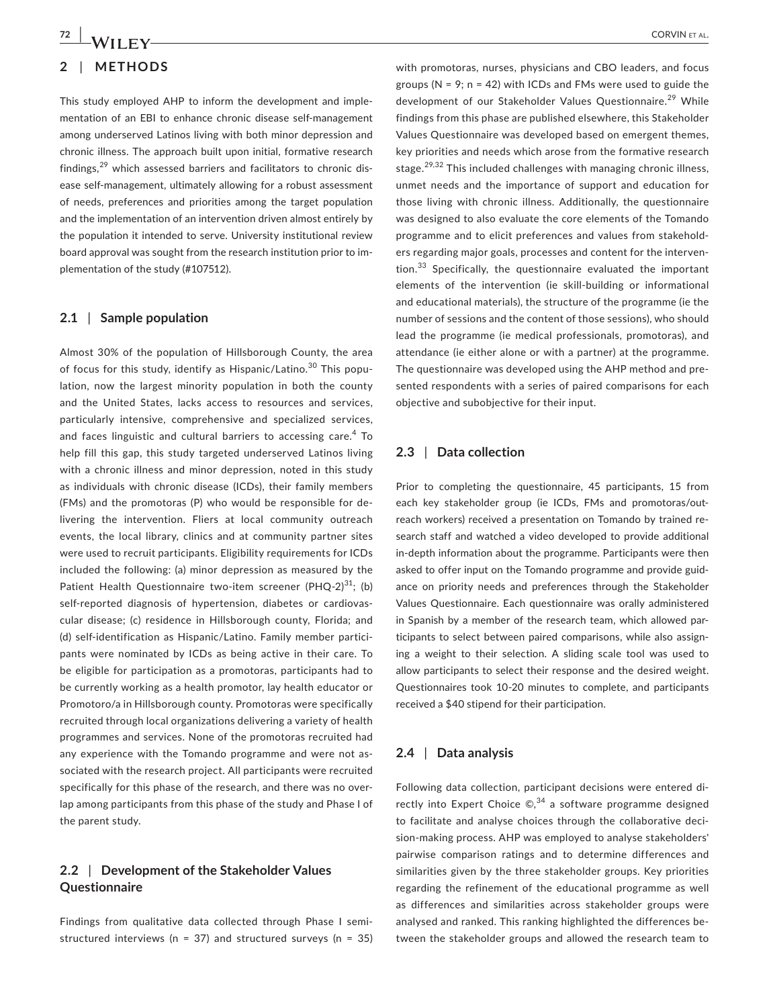This study employed AHP to inform the development and implementation of an EBI to enhance chronic disease self-management among underserved Latinos living with both minor depression and chronic illness. The approach built upon initial, formative research findings, $29$  which assessed barriers and facilitators to chronic disease self-management, ultimately allowing for a robust assessment of needs, preferences and priorities among the target population and the implementation of an intervention driven almost entirely by the population it intended to serve. University institutional review board approval was sought from the research institution prior to implementation of the study (#107512).

#### **2.1** | **Sample population**

Almost 30% of the population of Hillsborough County, the area of focus for this study, identify as Hispanic/Latino.<sup>30</sup> This population, now the largest minority population in both the county and the United States, lacks access to resources and services, particularly intensive, comprehensive and specialized services, and faces linguistic and cultural barriers to accessing care.<sup>4</sup> To help fill this gap, this study targeted underserved Latinos living with a chronic illness and minor depression, noted in this study as individuals with chronic disease (ICDs), their family members (FMs) and the promotoras (P) who would be responsible for delivering the intervention. Fliers at local community outreach events, the local library, clinics and at community partner sites were used to recruit participants. Eligibility requirements for ICDs included the following: (a) minor depression as measured by the Patient Health Questionnaire two-item screener (PHQ-2) $^{31}$ ; (b) self-reported diagnosis of hypertension, diabetes or cardiovascular disease; (c) residence in Hillsborough county, Florida; and (d) self-identification as Hispanic/Latino. Family member participants were nominated by ICDs as being active in their care. To be eligible for participation as a promotoras, participants had to be currently working as a health promotor, lay health educator or Promotoro/a in Hillsborough county. Promotoras were specifically recruited through local organizations delivering a variety of health programmes and services. None of the promotoras recruited had any experience with the Tomando programme and were not associated with the research project. All participants were recruited specifically for this phase of the research, and there was no overlap among participants from this phase of the study and Phase I of the parent study.

## **2.2** | **Development of the Stakeholder Values Questionnaire**

Findings from qualitative data collected through Phase I semistructured interviews ( $n = 37$ ) and structured surveys ( $n = 35$ ) with promotoras, nurses, physicians and CBO leaders, and focus groups ( $N = 9$ ;  $n = 42$ ) with ICDs and FMs were used to guide the development of our Stakeholder Values Questionnaire.<sup>29</sup> While findings from this phase are published elsewhere, this Stakeholder Values Questionnaire was developed based on emergent themes, key priorities and needs which arose from the formative research stage.<sup>29,32</sup> This included challenges with managing chronic illness, unmet needs and the importance of support and education for those living with chronic illness. Additionally, the questionnaire was designed to also evaluate the core elements of the Tomando programme and to elicit preferences and values from stakeholders regarding major goals, processes and content for the intervention.<sup>33</sup> Specifically, the questionnaire evaluated the important elements of the intervention (ie skill-building or informational and educational materials), the structure of the programme (ie the number of sessions and the content of those sessions), who should lead the programme (ie medical professionals, promotoras), and attendance (ie either alone or with a partner) at the programme. The questionnaire was developed using the AHP method and presented respondents with a series of paired comparisons for each objective and subobjective for their input.

#### **2.3** | **Data collection**

Prior to completing the questionnaire, 45 participants, 15 from each key stakeholder group (ie ICDs, FMs and promotoras/outreach workers) received a presentation on Tomando by trained research staff and watched a video developed to provide additional in-depth information about the programme. Participants were then asked to offer input on the Tomando programme and provide guidance on priority needs and preferences through the Stakeholder Values Questionnaire. Each questionnaire was orally administered in Spanish by a member of the research team, which allowed participants to select between paired comparisons, while also assigning a weight to their selection. A sliding scale tool was used to allow participants to select their response and the desired weight. Questionnaires took 10-20 minutes to complete, and participants received a \$40 stipend for their participation.

#### **2.4** | **Data analysis**

Following data collection, participant decisions were entered directly into Expert Choice  $\mathbb{C}$ ,  $34$  a software programme designed to facilitate and analyse choices through the collaborative decision-making process. AHP was employed to analyse stakeholders' pairwise comparison ratings and to determine differences and similarities given by the three stakeholder groups. Key priorities regarding the refinement of the educational programme as well as differences and similarities across stakeholder groups were analysed and ranked. This ranking highlighted the differences between the stakeholder groups and allowed the research team to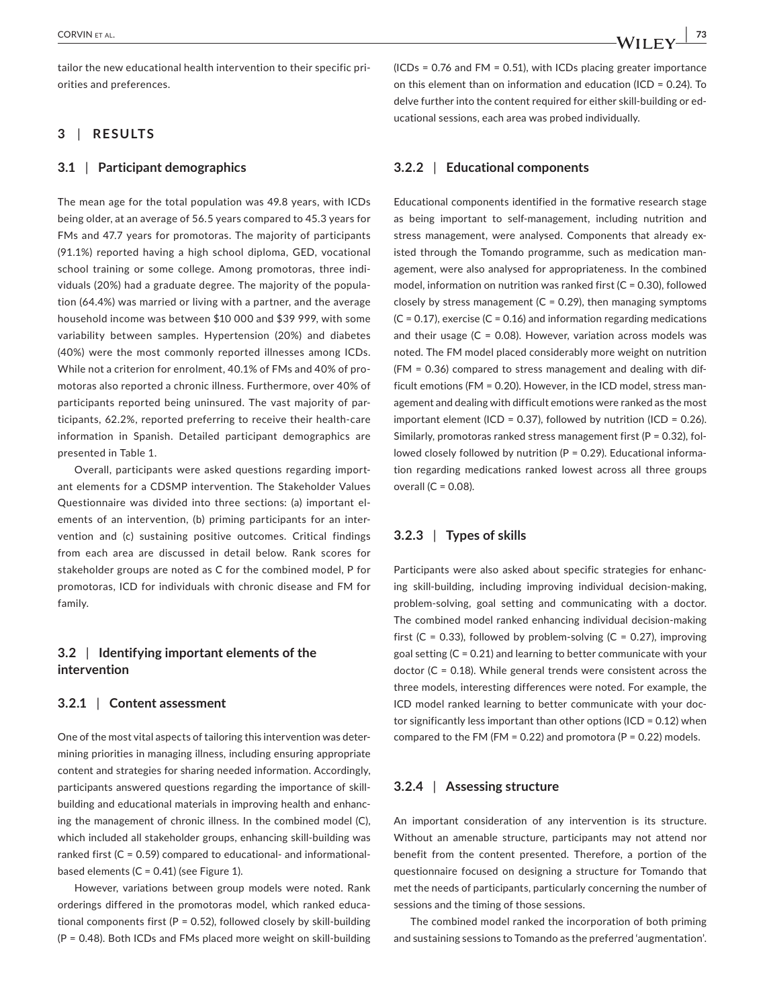tailor the new educational health intervention to their specific priorities and preferences.

## **3** | **RESULTS**

#### **3.1** | **Participant demographics**

The mean age for the total population was 49.8 years, with ICDs being older, at an average of 56.5 years compared to 45.3 years for FMs and 47.7 years for promotoras. The majority of participants (91.1%) reported having a high school diploma, GED, vocational school training or some college. Among promotoras, three individuals (20%) had a graduate degree. The majority of the population (64.4%) was married or living with a partner, and the average household income was between \$10 000 and \$39 999, with some variability between samples. Hypertension (20%) and diabetes (40%) were the most commonly reported illnesses among ICDs. While not a criterion for enrolment, 40.1% of FMs and 40% of promotoras also reported a chronic illness. Furthermore, over 40% of participants reported being uninsured. The vast majority of participants, 62.2%, reported preferring to receive their health-care information in Spanish. Detailed participant demographics are presented in Table 1.

Overall, participants were asked questions regarding important elements for a CDSMP intervention. The Stakeholder Values Questionnaire was divided into three sections: (a) important elements of an intervention, (b) priming participants for an intervention and (c) sustaining positive outcomes. Critical findings from each area are discussed in detail below. Rank scores for stakeholder groups are noted as C for the combined model, P for promotoras, ICD for individuals with chronic disease and FM for family.

## **3.2** | **Identifying important elements of the intervention**

#### **3.2.1** | **Content assessment**

One of the most vital aspects of tailoring this intervention was determining priorities in managing illness, including ensuring appropriate content and strategies for sharing needed information. Accordingly, participants answered questions regarding the importance of skillbuilding and educational materials in improving health and enhancing the management of chronic illness. In the combined model (C), which included all stakeholder groups, enhancing skill-building was ranked first (C = 0.59) compared to educational- and informationalbased elements (C = 0.41) (see Figure 1).

However, variations between group models were noted. Rank orderings differed in the promotoras model, which ranked educational components first ( $P = 0.52$ ), followed closely by skill-building (P = 0.48). Both ICDs and FMs placed more weight on skill-building

 $(ICDs = 0.76$  and  $FM = 0.51$ ), with ICDs placing greater importance on this element than on information and education (ICD = 0.24). To delve further into the content required for either skill-building or educational sessions, each area was probed individually.

## **3.2.2** | **Educational components**

Educational components identified in the formative research stage as being important to self-management, including nutrition and stress management, were analysed. Components that already existed through the Tomando programme, such as medication management, were also analysed for appropriateness. In the combined model, information on nutrition was ranked first ( $C = 0.30$ ), followed closely by stress management ( $C = 0.29$ ), then managing symptoms  $(C = 0.17)$ , exercise  $(C = 0.16)$  and information regarding medications and their usage  $(C = 0.08)$ . However, variation across models was noted. The FM model placed considerably more weight on nutrition (FM = 0.36) compared to stress management and dealing with difficult emotions (FM = 0.20). However, in the ICD model, stress management and dealing with difficult emotions were ranked as the most important element (ICD = 0.37), followed by nutrition (ICD = 0.26). Similarly, promotoras ranked stress management first (P = 0.32), followed closely followed by nutrition (P = 0.29). Educational information regarding medications ranked lowest across all three groups overall  $(C = 0.08)$ .

### **3.2.3** | **Types of skills**

Participants were also asked about specific strategies for enhancing skill-building, including improving individual decision-making, problem-solving, goal setting and communicating with a doctor. The combined model ranked enhancing individual decision-making first (C = 0.33), followed by problem-solving (C = 0.27), improving goal setting (C = 0.21) and learning to better communicate with your doctor ( $C = 0.18$ ). While general trends were consistent across the three models, interesting differences were noted. For example, the ICD model ranked learning to better communicate with your doctor significantly less important than other options (ICD = 0.12) when compared to the FM (FM = 0.22) and promotora (P = 0.22) models.

## **3.2.4** | **Assessing structure**

An important consideration of any intervention is its structure. Without an amenable structure, participants may not attend nor benefit from the content presented. Therefore, a portion of the questionnaire focused on designing a structure for Tomando that met the needs of participants, particularly concerning the number of sessions and the timing of those sessions.

The combined model ranked the incorporation of both priming and sustaining sessions to Tomando as the preferred 'augmentation'.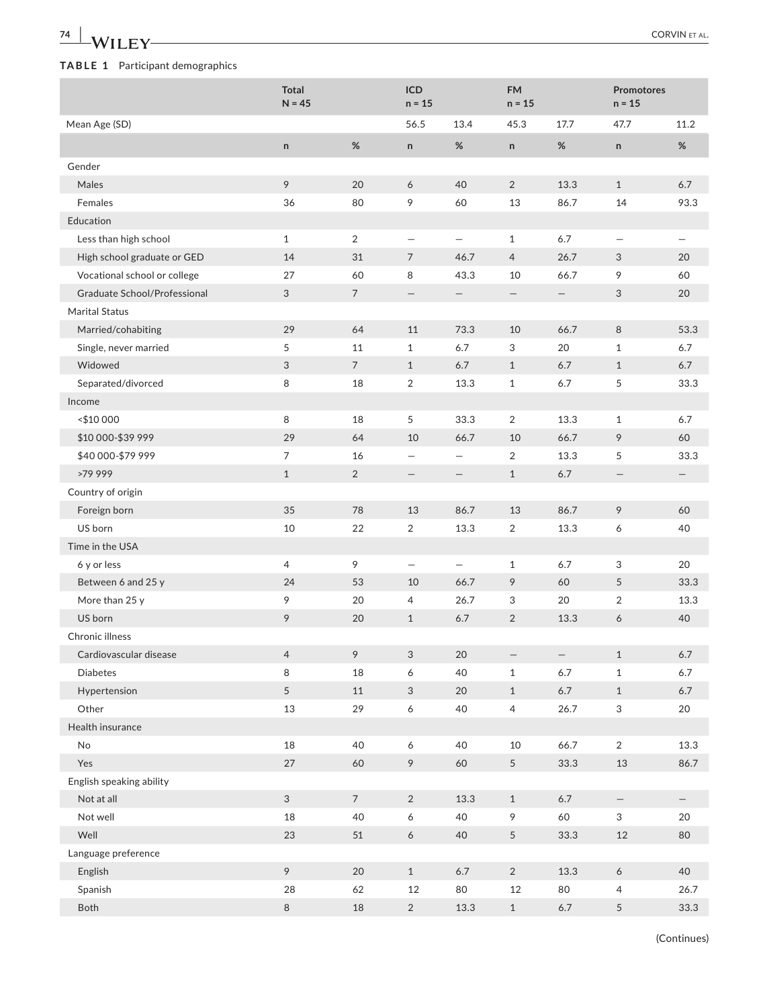| 74                               |                          |                 |                           |                   |                          |                          |                           | <b>CORVIN ET AL.</b> |
|----------------------------------|--------------------------|-----------------|---------------------------|-------------------|--------------------------|--------------------------|---------------------------|----------------------|
| TABLE 1 Participant demographics |                          |                 |                           |                   |                          |                          |                           |                      |
|                                  | <b>Total</b><br>$N = 45$ |                 | ICD<br>$n = 15$           |                   | <b>FM</b><br>$n = 15$    |                          | Promotores<br>$n = 15$    |                      |
| Mean Age (SD)                    |                          |                 | 56.5                      | 13.4              | 45.3                     | 17.7                     | 47.7                      | 11.2                 |
|                                  | $\mathsf{n}$             | $\%$            | $\mathsf{n}$              | $\%$              | $\mathsf{n}$             | %                        | $\sf n$                   | $\%$                 |
| Gender                           |                          |                 |                           |                   |                          |                          |                           |                      |
| Males                            | 9                        | 20              | 6                         | 40                | 2                        | 13.3                     | $\mathbf{1}$              | 6.7                  |
| Females                          | 36                       | 80              | 9                         | 60                | 13                       | 86.7                     | 14                        | 93.3                 |
| Education                        |                          |                 |                           |                   |                          |                          |                           |                      |
| Less than high school            | $\mathbf{1}$             | $\overline{2}$  | $\overline{\phantom{m}}$  | $\qquad \qquad -$ | $\mathbf{1}$             | 6.7                      | $\overline{\phantom{0}}$  |                      |
| High school graduate or GED      | 14                       | 31              | $\overline{7}$            | 46.7              | $\overline{4}$           | 26.7                     | 3                         | 20                   |
| Vocational school or college     | 27                       | 60              | 8                         | 43.3              | 10                       | 66.7                     | 9                         | 60                   |
| Graduate School/Professional     | 3                        | $\overline{7}$  | $\qquad \qquad -$         | $\qquad \qquad -$ | $\overline{\phantom{m}}$ | $\qquad \qquad -$        | 3                         | 20                   |
| <b>Marital Status</b>            |                          |                 |                           |                   |                          |                          |                           |                      |
| Married/cohabiting               | 29                       | 64              | 11                        | 73.3              | 10                       | 66.7                     | 8                         | 53.3                 |
| Single, never married            | 5                        | 11              | $\mathbf{1}$              | 6.7               | 3                        | 20                       | $\mathbf{1}$              | 6.7                  |
| Widowed                          | 3                        | $\overline{7}$  | $\mathbf{1}$              | $6.7\,$           | $\mathbf{1}$             | 6.7                      | $\mathbf{1}$              | 6.7                  |
| Separated/divorced               | 8                        | 18              | $\overline{2}$            | 13.3              | $\mathbf{1}$             | $6.7$                    | 5                         | 33.3                 |
| Income                           |                          |                 |                           |                   |                          |                          |                           |                      |
| <\$10 000                        | 8                        | 18              | 5                         | 33.3              | $\overline{2}$           | 13.3                     | $\mathbf{1}$              | 6.7                  |
| \$10 000-\$39 999                | 29                       | 64              | 10                        | 66.7              | 10                       | 66.7                     | 9                         | 60                   |
| \$40 000-\$79 999                | 7                        | 16              | $\qquad \qquad -$         |                   | 2                        | 13.3                     | 5                         | 33.3                 |
| >79 999                          | $\mathbf{1}$             | $\overline{2}$  | $\qquad \qquad -$         |                   | $\mathbf{1}$             | 6.7                      | —                         |                      |
| Country of origin                |                          |                 |                           |                   |                          |                          |                           |                      |
| Foreign born                     | 35                       | 78              | 13                        | 86.7              | 13                       | 86.7                     | 9                         | 60                   |
| US born                          | 10                       | 22              | $\overline{2}$            | 13.3              | 2                        | 13.3                     | 6                         | 40                   |
| Time in the USA                  |                          |                 |                           |                   |                          |                          |                           |                      |
| 6 y or less                      | 4                        | 9               | $\overline{\phantom{0}}$  |                   | $\mathbf{1}$             | 6.7                      | 3                         | 20                   |
|                                  | 24                       | 53              | 10                        | 66.7              | 9                        | 60                       | 5                         | 33.3                 |
| Between 6 and 25 y               | 9                        | 20              | 4                         |                   | 3                        | 20                       | $\overline{2}$            | 13.3                 |
| More than 25 y<br>US born        | 9                        | 20              | $\mathbf{1}$              | 26.7              |                          | 13.3                     | 6                         | 40                   |
| Chronic illness                  |                          |                 |                           | $6.7\,$           | $\overline{2}$           |                          |                           |                      |
| Cardiovascular disease           |                          | 9               |                           |                   |                          |                          |                           |                      |
|                                  | $\overline{4}$           |                 | $\ensuremath{\mathsf{3}}$ | 20                | $\qquad \qquad -$        | $\overline{\phantom{0}}$ | $\mathbf{1}$              | $6.7\,$              |
| Diabetes                         | 8                        | 18              | $\boldsymbol{6}$          | 40                | $\,1$                    | $6.7\,$                  | $\mathbf{1}$              | $6.7\,$              |
| Hypertension                     | 5                        | 11              | $\ensuremath{\mathsf{3}}$ | 20                | $\mathbf{1}$             | $6.7\,$                  | $\mathbf{1}$              | $6.7\,$              |
| Other                            | 13                       | 29              | $\boldsymbol{6}$          | 40                | $\overline{4}$           | 26.7                     | $\ensuremath{\mathsf{3}}$ | 20                   |
| Health insurance                 |                          |                 |                           |                   |                          |                          |                           |                      |
| $\mathsf{No}$                    | 18                       | 40              | 6                         | 40                | 10                       | 66.7                     | $\overline{2}$            | 13.3                 |
| Yes                              | $27\,$                   | 60              | 9                         | 60                | 5                        | 33.3                     | 13                        | 86.7                 |
| English speaking ability         |                          |                 |                           |                   |                          |                          |                           |                      |
| Not at all                       | $\mathfrak{S}$           | $7\overline{ }$ | $\sqrt{2}$                | 13.3              | $\mathbf{1}$             | $6.7\,$                  | $\overline{\phantom{0}}$  | -                    |
| Not well                         | 18                       | 40              | 6                         | 40                | 9                        | 60                       | 3                         | 20                   |
| Well                             | 23                       | $51\,$          | $\boldsymbol{6}$          | 40                | 5                        | 33.3                     | 12                        | 80                   |
| Language preference              |                          |                 |                           |                   |                          |                          |                           |                      |
| English                          | 9                        | 20              | $1\,$                     | $6.7\,$           | $\overline{2}$           | 13.3                     | $\boldsymbol{6}$          | 40                   |
| Spanish                          | 28                       | 62              | 12                        | 80                | $12\,$                   | 80                       | $\overline{4}$            | 26.7                 |
| Both                             | $\,8\,$                  | 18              | $\overline{c}$            | 13.3              | $\mathbf{1}$             | $6.7\,$                  | 5                         | 33.3                 |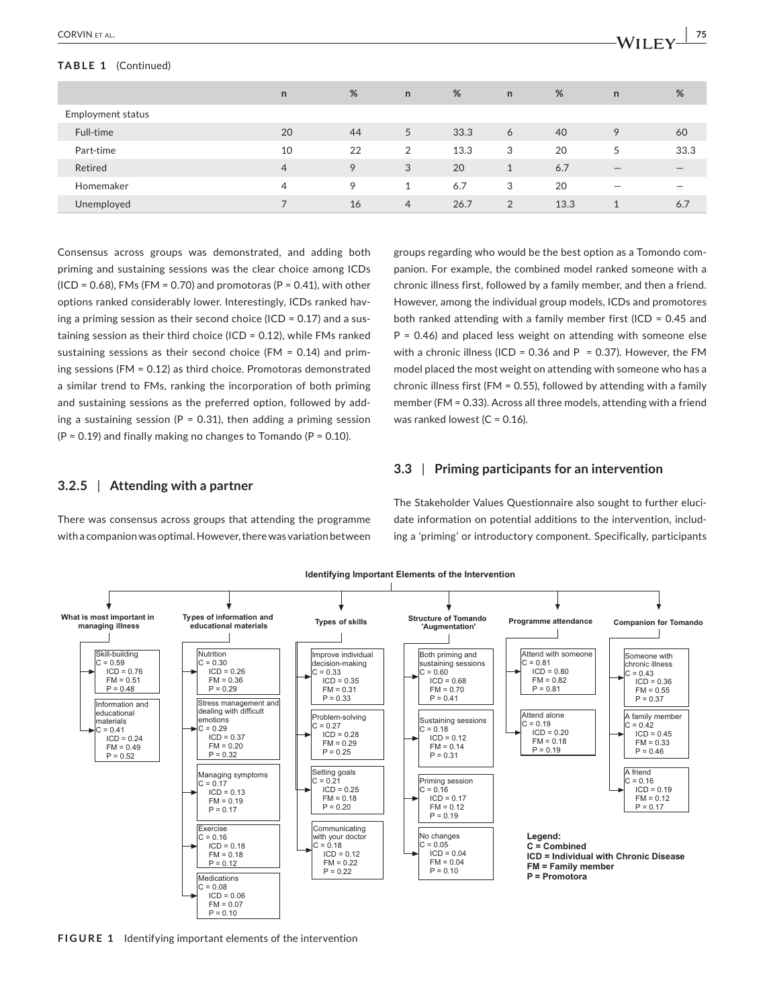#### **TABLE 1** (Continued)

| <b>CORVINE</b> | --           |
|----------------|--------------|
| ΉΑL.           | . .          |
|                | . .<br>_____ |

|                   | n              | %  | $\mathsf{n}$   | %    | n            | %    | $\mathsf{n}$                    | %                            |
|-------------------|----------------|----|----------------|------|--------------|------|---------------------------------|------------------------------|
| Employment status |                |    |                |      |              |      |                                 |                              |
| Full-time         | 20             | 44 | 5              | 33.3 | 6            | 40   | 9                               | 60                           |
| Part-time         | 10             | 22 | 2              | 13.3 | 3            | 20   | 5                               | 33.3                         |
| Retired           | $\overline{4}$ | 9  | 3              | 20   | $\mathbf{1}$ | 6.7  | $\hspace{0.1mm}-\hspace{0.1mm}$ | $\qquad \qquad \blacksquare$ |
| Homemaker         | $\overline{4}$ | 9  |                | 6.7  | 3            | 20   |                                 |                              |
| Unemployed        |                | 16 | $\overline{4}$ | 26.7 | 2            | 13.3 |                                 | 6.7                          |

Consensus across groups was demonstrated, and adding both priming and sustaining sessions was the clear choice among ICDs (ICD = 0.68), FMs (FM = 0.70) and promotoras (P = 0.41), with other options ranked considerably lower. Interestingly, ICDs ranked having a priming session as their second choice (ICD = 0.17) and a sustaining session as their third choice (ICD = 0.12), while FMs ranked sustaining sessions as their second choice (FM = 0.14) and priming sessions (FM = 0.12) as third choice. Promotoras demonstrated a similar trend to FMs, ranking the incorporation of both priming and sustaining sessions as the preferred option, followed by adding a sustaining session ( $P = 0.31$ ), then adding a priming session  $(P = 0.19)$  and finally making no changes to Tomando  $(P = 0.10)$ .

groups regarding who would be the best option as a Tomondo companion. For example, the combined model ranked someone with a chronic illness first, followed by a family member, and then a friend. However, among the individual group models, ICDs and promotores both ranked attending with a family member first (ICD = 0.45 and  $P = 0.46$ ) and placed less weight on attending with someone else with a chronic illness (ICD = 0.36 and P = 0.37). However, the FM model placed the most weight on attending with someone who has a chronic illness first (FM = 0.55), followed by attending with a family member (FM = 0.33). Across all three models, attending with a friend was ranked lowest ( $C = 0.16$ ).

## **3.2.5** | **Attending with a partner**

There was consensus across groups that attending the programme with a companion was optimal. However, there was variation between **3.3** | **Priming participants for an intervention**

The Stakeholder Values Questionnaire also sought to further elucidate information on potential additions to the intervention, including a 'priming' or introductory component. Specifically, participants



**FIGURE 1** Identifying important elements of the intervention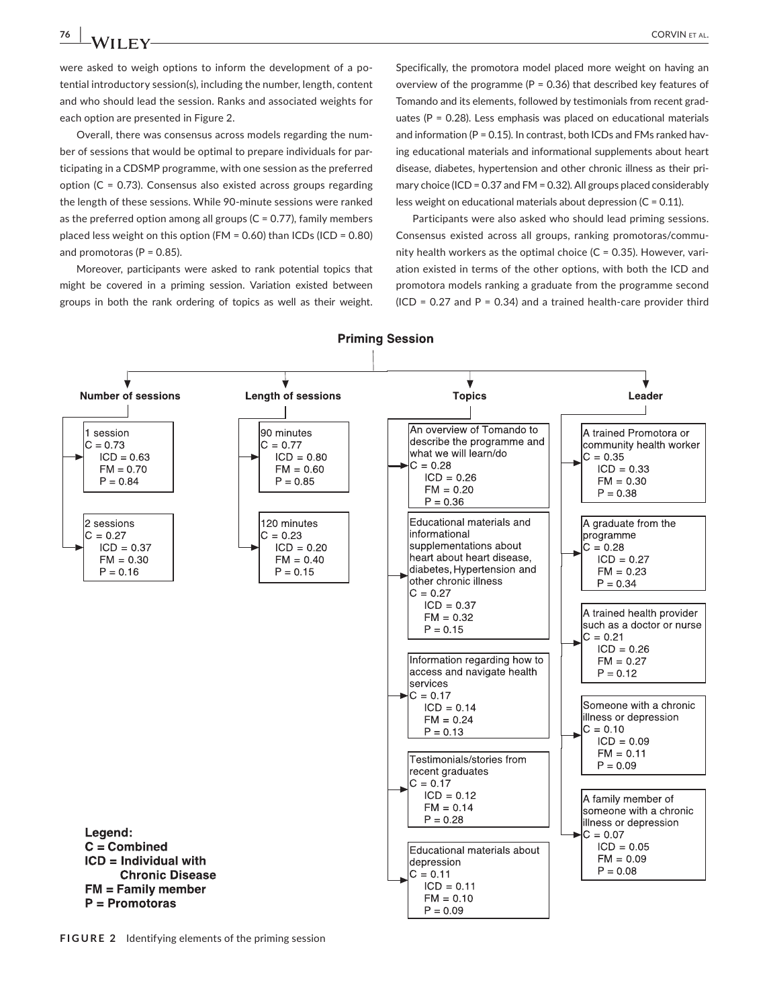were asked to weigh options to inform the development of a potential introductory session(s), including the number, length, content and who should lead the session. Ranks and associated weights for each option are presented in Figure 2.

Overall, there was consensus across models regarding the number of sessions that would be optimal to prepare individuals for participating in a CDSMP programme, with one session as the preferred option  $(C = 0.73)$ . Consensus also existed across groups regarding the length of these sessions. While 90-minute sessions were ranked as the preferred option among all groups ( $C = 0.77$ ), family members placed less weight on this option (FM = 0.60) than ICDs (ICD = 0.80) and promotoras ( $P = 0.85$ ).

Moreover, participants were asked to rank potential topics that might be covered in a priming session. Variation existed between groups in both the rank ordering of topics as well as their weight.

Specifically, the promotora model placed more weight on having an overview of the programme ( $P = 0.36$ ) that described key features of Tomando and its elements, followed by testimonials from recent graduates ( $P = 0.28$ ). Less emphasis was placed on educational materials and information ( $P = 0.15$ ). In contrast, both ICDs and FMs ranked having educational materials and informational supplements about heart disease, diabetes, hypertension and other chronic illness as their primary choice (ICD = 0.37 and FM = 0.32). All groups placed considerably less weight on educational materials about depression ( $C = 0.11$ ).

Participants were also asked who should lead priming sessions. Consensus existed across all groups, ranking promotoras/community health workers as the optimal choice  $(C = 0.35)$ . However, variation existed in terms of the other options, with both the ICD and promotora models ranking a graduate from the programme second  $(ICD = 0.27$  and  $P = 0.34$ ) and a trained health-care provider third



**FIGURE 2** Identifying elements of the priming session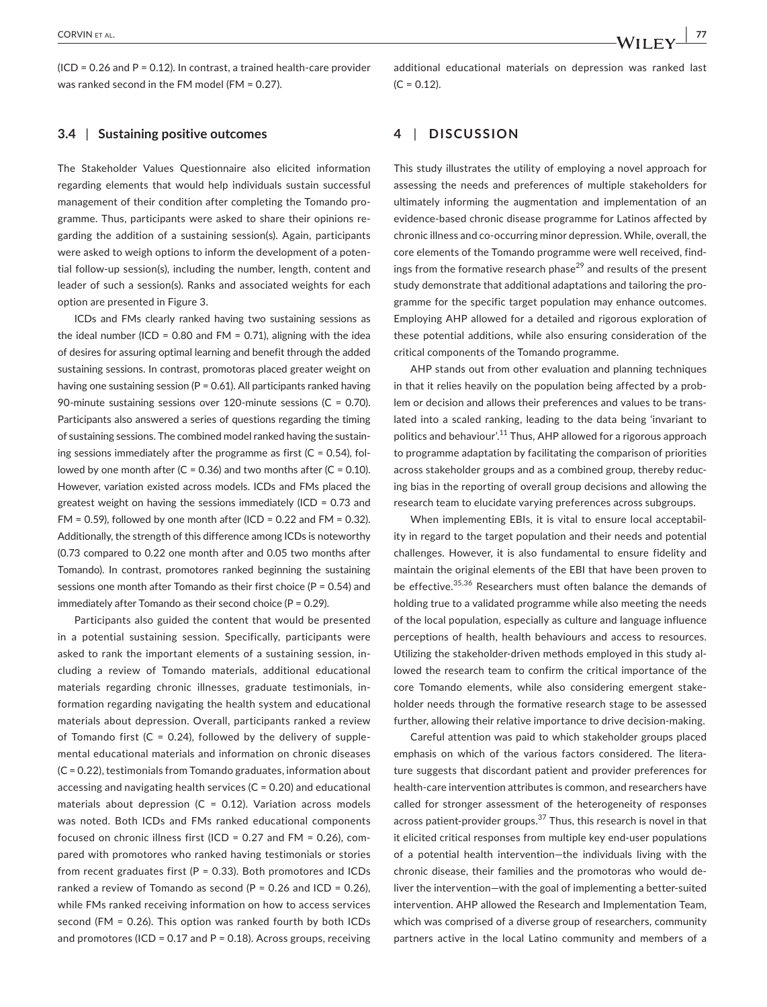#### **3.4** | **Sustaining positive outcomes**

The Stakeholder Values Questionnaire also elicited information regarding elements that would help individuals sustain successful management of their condition after completing the Tomando programme. Thus, participants were asked to share their opinions regarding the addition of a sustaining session(s). Again, participants were asked to weigh options to inform the development of a potential follow-up session(s), including the number, length, content and leader of such a session(s). Ranks and associated weights for each option are presented in Figure 3.

ICDs and FMs clearly ranked having two sustaining sessions as the ideal number (ICD = 0.80 and FM = 0.71), aligning with the idea of desires for assuring optimal learning and benefit through the added sustaining sessions. In contrast, promotoras placed greater weight on having one sustaining session ( $P = 0.61$ ). All participants ranked having 90-minute sustaining sessions over 120-minute sessions (C = 0.70). Participants also answered a series of questions regarding the timing of sustaining sessions. The combined model ranked having the sustaining sessions immediately after the programme as first  $(C = 0.54)$ , followed by one month after (C = 0.36) and two months after (C = 0.10). However, variation existed across models. ICDs and FMs placed the greatest weight on having the sessions immediately (ICD = 0.73 and FM = 0.59), followed by one month after (ICD = 0.22 and FM = 0.32). Additionally, the strength of this difference among ICDs is noteworthy (0.73 compared to 0.22 one month after and 0.05 two months after Tomando). In contrast, promotores ranked beginning the sustaining sessions one month after Tomando as their first choice (P = 0.54) and immediately after Tomando as their second choice (P = 0.29).

Participants also guided the content that would be presented in a potential sustaining session. Specifically, participants were asked to rank the important elements of a sustaining session, including a review of Tomando materials, additional educational materials regarding chronic illnesses, graduate testimonials, information regarding navigating the health system and educational materials about depression. Overall, participants ranked a review of Tomando first  $(C = 0.24)$ , followed by the delivery of supplemental educational materials and information on chronic diseases (C = 0.22), testimonials from Tomando graduates, information about accessing and navigating health services ( $C = 0.20$ ) and educational materials about depression ( $C = 0.12$ ). Variation across models was noted. Both ICDs and FMs ranked educational components focused on chronic illness first (ICD = 0.27 and FM = 0.26), compared with promotores who ranked having testimonials or stories from recent graduates first ( $P = 0.33$ ). Both promotores and ICDs ranked a review of Tomando as second ( $P = 0.26$  and ICD = 0.26), while FMs ranked receiving information on how to access services second (FM = 0.26). This option was ranked fourth by both ICDs and promotores (ICD = 0.17 and P = 0.18). Across groups, receiving

## **4** | **DISCUSSION**

This study illustrates the utility of employing a novel approach for assessing the needs and preferences of multiple stakeholders for ultimately informing the augmentation and implementation of an evidence-based chronic disease programme for Latinos affected by chronic illness and co-occurring minor depression. While, overall, the core elements of the Tomando programme were well received, findings from the formative research phase<sup>29</sup> and results of the present study demonstrate that additional adaptations and tailoring the programme for the specific target population may enhance outcomes. Employing AHP allowed for a detailed and rigorous exploration of these potential additions, while also ensuring consideration of the critical components of the Tomando programme.

AHP stands out from other evaluation and planning techniques in that it relies heavily on the population being affected by a problem or decision and allows their preferences and values to be translated into a scaled ranking, leading to the data being 'invariant to politics and behaviour'.11 Thus, AHP allowed for a rigorous approach to programme adaptation by facilitating the comparison of priorities across stakeholder groups and as a combined group, thereby reducing bias in the reporting of overall group decisions and allowing the research team to elucidate varying preferences across subgroups.

When implementing EBIs, it is vital to ensure local acceptability in regard to the target population and their needs and potential challenges. However, it is also fundamental to ensure fidelity and maintain the original elements of the EBI that have been proven to be effective.35,36 Researchers must often balance the demands of holding true to a validated programme while also meeting the needs of the local population, especially as culture and language influence perceptions of health, health behaviours and access to resources. Utilizing the stakeholder-driven methods employed in this study allowed the research team to confirm the critical importance of the core Tomando elements, while also considering emergent stakeholder needs through the formative research stage to be assessed further, allowing their relative importance to drive decision-making.

Careful attention was paid to which stakeholder groups placed emphasis on which of the various factors considered. The literature suggests that discordant patient and provider preferences for health-care intervention attributes is common, and researchers have called for stronger assessment of the heterogeneity of responses across patient-provider groups.<sup>37</sup> Thus, this research is novel in that it elicited critical responses from multiple key end-user populations of a potential health intervention—the individuals living with the chronic disease, their families and the promotoras who would deliver the intervention—with the goal of implementing a better-suited intervention. AHP allowed the Research and Implementation Team, which was comprised of a diverse group of researchers, community partners active in the local Latino community and members of a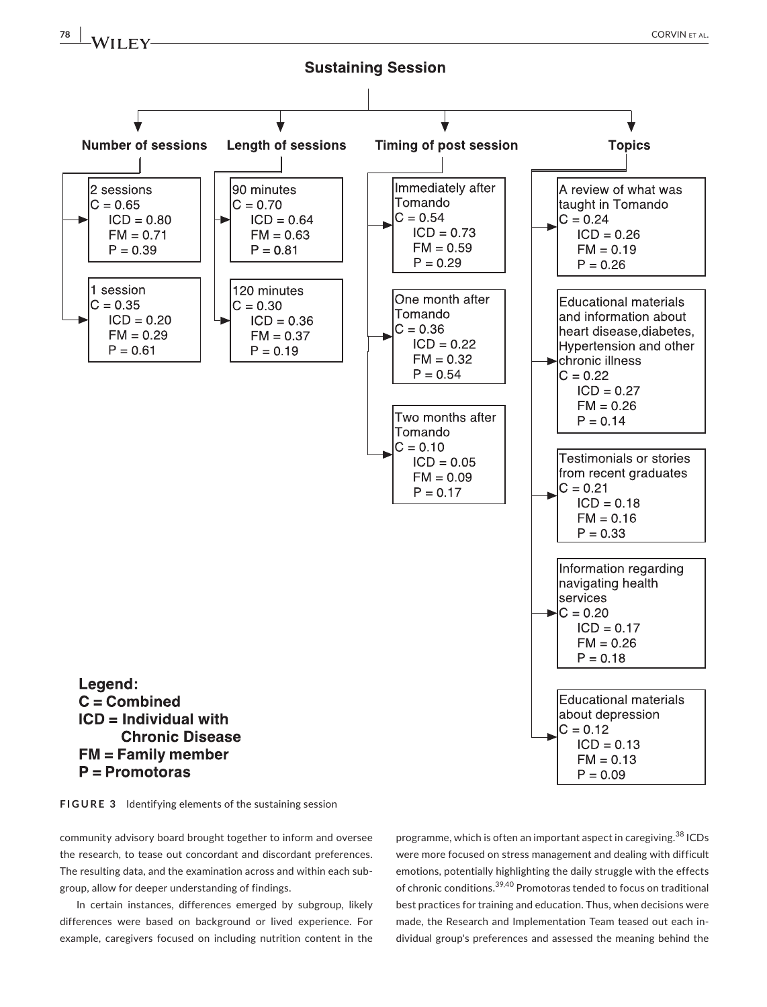

**FIGURE 3** Identifying elements of the sustaining session

community advisory board brought together to inform and oversee the research, to tease out concordant and discordant preferences. The resulting data, and the examination across and within each subgroup, allow for deeper understanding of findings.

In certain instances, differences emerged by subgroup, likely differences were based on background or lived experience. For example, caregivers focused on including nutrition content in the

programme, which is often an important aspect in caregiving.<sup>38</sup> ICDs were more focused on stress management and dealing with difficult emotions, potentially highlighting the daily struggle with the effects of chronic conditions.39,40 Promotoras tended to focus on traditional best practices for training and education. Thus, when decisions were made, the Research and Implementation Team teased out each individual group's preferences and assessed the meaning behind the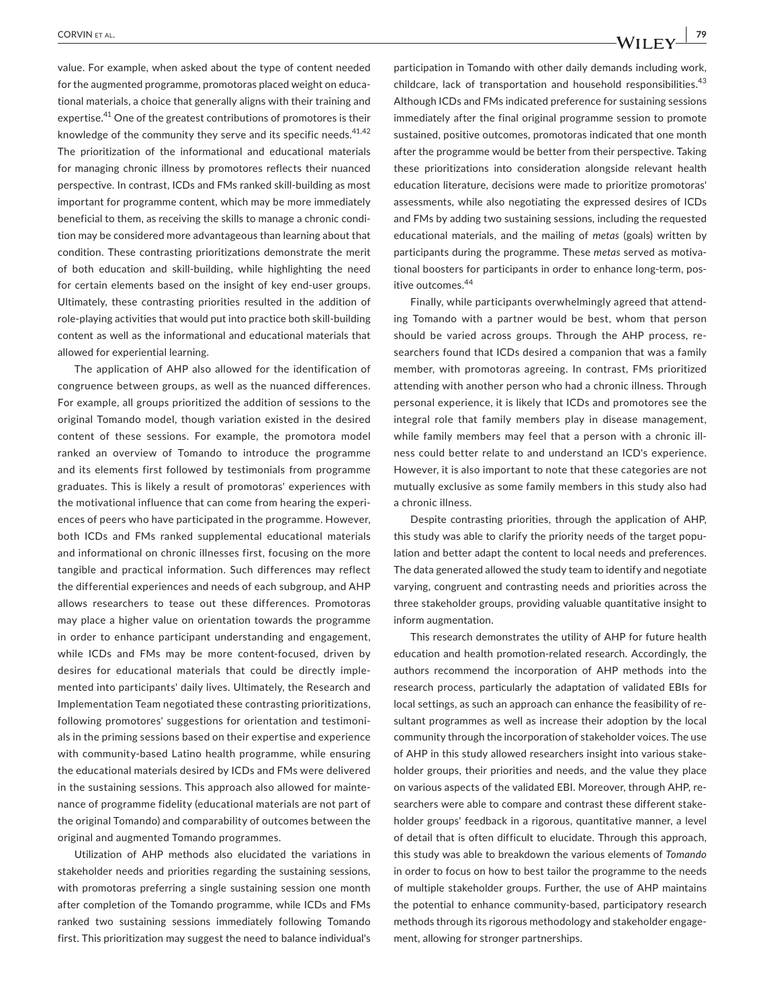value. For example, when asked about the type of content needed for the augmented programme, promotoras placed weight on educational materials, a choice that generally aligns with their training and expertise.<sup>41</sup> One of the greatest contributions of promotores is their knowledge of the community they serve and its specific needs.<sup>41,42</sup> The prioritization of the informational and educational materials for managing chronic illness by promotores reflects their nuanced perspective. In contrast, ICDs and FMs ranked skill-building as most important for programme content, which may be more immediately beneficial to them, as receiving the skills to manage a chronic condition may be considered more advantageous than learning about that condition. These contrasting prioritizations demonstrate the merit of both education and skill-building, while highlighting the need for certain elements based on the insight of key end-user groups. Ultimately, these contrasting priorities resulted in the addition of role-playing activities that would put into practice both skill-building content as well as the informational and educational materials that allowed for experiential learning.

The application of AHP also allowed for the identification of congruence between groups, as well as the nuanced differences. For example, all groups prioritized the addition of sessions to the original Tomando model, though variation existed in the desired content of these sessions. For example, the promotora model ranked an overview of Tomando to introduce the programme and its elements first followed by testimonials from programme graduates. This is likely a result of promotoras' experiences with the motivational influence that can come from hearing the experiences of peers who have participated in the programme. However, both ICDs and FMs ranked supplemental educational materials and informational on chronic illnesses first, focusing on the more tangible and practical information. Such differences may reflect the differential experiences and needs of each subgroup, and AHP allows researchers to tease out these differences. Promotoras may place a higher value on orientation towards the programme in order to enhance participant understanding and engagement, while ICDs and FMs may be more content-focused, driven by desires for educational materials that could be directly implemented into participants' daily lives. Ultimately, the Research and Implementation Team negotiated these contrasting prioritizations, following promotores' suggestions for orientation and testimonials in the priming sessions based on their expertise and experience with community-based Latino health programme, while ensuring the educational materials desired by ICDs and FMs were delivered in the sustaining sessions. This approach also allowed for maintenance of programme fidelity (educational materials are not part of the original Tomando) and comparability of outcomes between the original and augmented Tomando programmes.

Utilization of AHP methods also elucidated the variations in stakeholder needs and priorities regarding the sustaining sessions, with promotoras preferring a single sustaining session one month after completion of the Tomando programme, while ICDs and FMs ranked two sustaining sessions immediately following Tomando first. This prioritization may suggest the need to balance individual's

participation in Tomando with other daily demands including work, childcare, lack of transportation and household responsibilities.<sup>43</sup> Although ICDs and FMs indicated preference for sustaining sessions immediately after the final original programme session to promote sustained, positive outcomes, promotoras indicated that one month after the programme would be better from their perspective. Taking these prioritizations into consideration alongside relevant health education literature, decisions were made to prioritize promotoras' assessments, while also negotiating the expressed desires of ICDs and FMs by adding two sustaining sessions, including the requested educational materials, and the mailing of *metas* (goals) written by participants during the programme. These *metas* served as motivational boosters for participants in order to enhance long-term, positive outcomes.<sup>44</sup>

Finally, while participants overwhelmingly agreed that attending Tomando with a partner would be best, whom that person should be varied across groups. Through the AHP process, researchers found that ICDs desired a companion that was a family member, with promotoras agreeing. In contrast, FMs prioritized attending with another person who had a chronic illness. Through personal experience, it is likely that ICDs and promotores see the integral role that family members play in disease management, while family members may feel that a person with a chronic illness could better relate to and understand an ICD's experience. However, it is also important to note that these categories are not mutually exclusive as some family members in this study also had a chronic illness.

Despite contrasting priorities, through the application of AHP, this study was able to clarify the priority needs of the target population and better adapt the content to local needs and preferences. The data generated allowed the study team to identify and negotiate varying, congruent and contrasting needs and priorities across the three stakeholder groups, providing valuable quantitative insight to inform augmentation.

This research demonstrates the utility of AHP for future health education and health promotion-related research. Accordingly, the authors recommend the incorporation of AHP methods into the research process, particularly the adaptation of validated EBIs for local settings, as such an approach can enhance the feasibility of resultant programmes as well as increase their adoption by the local community through the incorporation of stakeholder voices. The use of AHP in this study allowed researchers insight into various stakeholder groups, their priorities and needs, and the value they place on various aspects of the validated EBI. Moreover, through AHP, researchers were able to compare and contrast these different stakeholder groups' feedback in a rigorous, quantitative manner, a level of detail that is often difficult to elucidate. Through this approach, this study was able to breakdown the various elements of *Tomando* in order to focus on how to best tailor the programme to the needs of multiple stakeholder groups. Further, the use of AHP maintains the potential to enhance community-based, participatory research methods through its rigorous methodology and stakeholder engagement, allowing for stronger partnerships.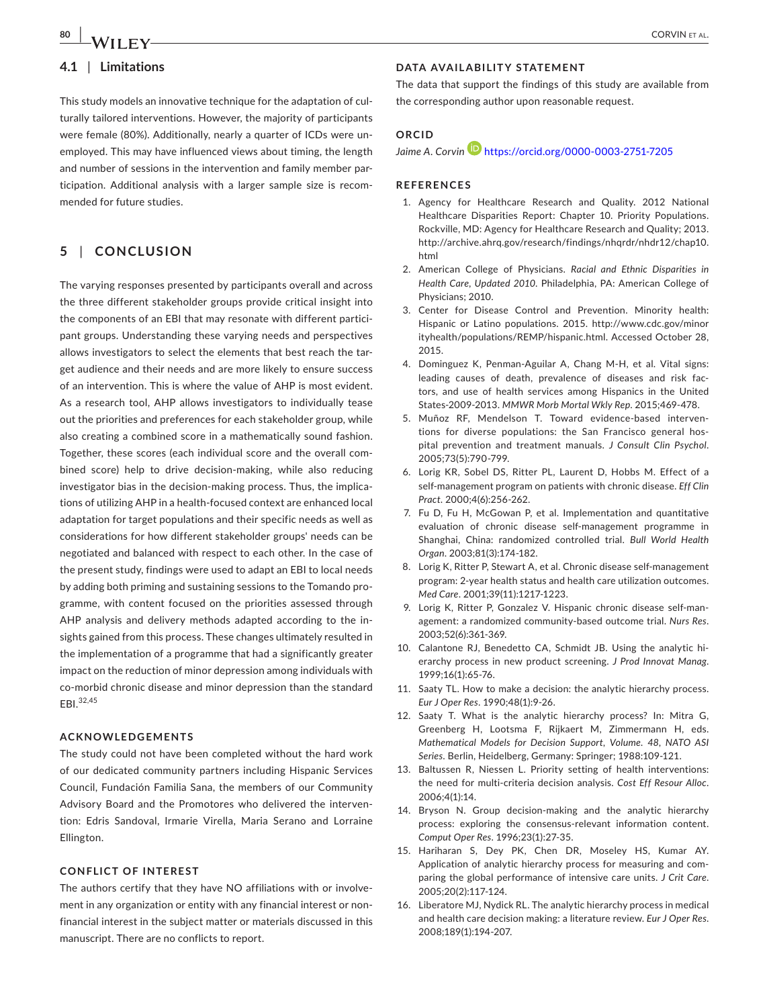# **4.1** | **Limitations**

This study models an innovative technique for the adaptation of culturally tailored interventions. However, the majority of participants were female (80%). Additionally, nearly a quarter of ICDs were unemployed. This may have influenced views about timing, the length and number of sessions in the intervention and family member participation. Additional analysis with a larger sample size is recommended for future studies.

## **5** | **CONCLUSION**

The varying responses presented by participants overall and across the three different stakeholder groups provide critical insight into the components of an EBI that may resonate with different participant groups. Understanding these varying needs and perspectives allows investigators to select the elements that best reach the target audience and their needs and are more likely to ensure success of an intervention. This is where the value of AHP is most evident. As a research tool, AHP allows investigators to individually tease out the priorities and preferences for each stakeholder group, while also creating a combined score in a mathematically sound fashion. Together, these scores (each individual score and the overall combined score) help to drive decision-making, while also reducing investigator bias in the decision-making process. Thus, the implications of utilizing AHP in a health-focused context are enhanced local adaptation for target populations and their specific needs as well as considerations for how different stakeholder groups' needs can be negotiated and balanced with respect to each other. In the case of the present study, findings were used to adapt an EBI to local needs by adding both priming and sustaining sessions to the Tomando programme, with content focused on the priorities assessed through AHP analysis and delivery methods adapted according to the insights gained from this process. These changes ultimately resulted in the implementation of a programme that had a significantly greater impact on the reduction of minor depression among individuals with co-morbid chronic disease and minor depression than the standard EBI.32,45

### **ACKNOWLEDGEMENTS**

The study could not have been completed without the hard work of our dedicated community partners including Hispanic Services Council, Fundación Familia Sana, the members of our Community Advisory Board and the Promotores who delivered the intervention: Edris Sandoval, Irmarie Virella, Maria Serano and Lorraine Ellington.

### **CONFLICT OF INTEREST**

The authors certify that they have NO affiliations with or involvement in any organization or entity with any financial interest or nonfinancial interest in the subject matter or materials discussed in this manuscript. There are no conflicts to report.

### **DATA AVAILABILITY STATEMENT**

The data that support the findings of this study are available from the corresponding author upon reasonable request.

### **ORCID**

#### Jaime A. Corvin<sup>1</sup> <https://orcid.org/0000-0003-2751-7205>

#### **REFERENCES**

- 1. Agency for Healthcare Research and Quality. 2012 National Healthcare Disparities Report: Chapter 10. Priority Populations. Rockville, MD: Agency for Healthcare Research and Quality; 2013. [http://archive.ahrq.gov/research/findings/nhqrdr/nhdr12/chap10.](http://archive.ahrq.gov/research/findings/nhqrdr/nhdr12/chap10.html) [html](http://archive.ahrq.gov/research/findings/nhqrdr/nhdr12/chap10.html)
- 2. American College of Physicians. *Racial and Ethnic Disparities in Health Care, Updated 2010*. Philadelphia, PA: American College of Physicians; 2010.
- 3. Center for Disease Control and Prevention. Minority health: Hispanic or Latino populations. 2015. [http://www.cdc.gov/minor](http://www.cdc.gov/minorityhealth/populations/REMP/hispanic.html) [ityhealth/populations/REMP/hispanic.html](http://www.cdc.gov/minorityhealth/populations/REMP/hispanic.html). Accessed October 28, 2015.
- 4. Dominguez K, Penman-Aguilar A, Chang M-H, et al. Vital signs: leading causes of death, prevalence of diseases and risk factors, and use of health services among Hispanics in the United States-2009-2013. *MMWR Morb Mortal Wkly Rep*. 2015;469-478.
- 5. Muñoz RF, Mendelson T. Toward evidence-based interventions for diverse populations: the San Francisco general hospital prevention and treatment manuals. *J Consult Clin Psychol*. 2005;73(5):790-799.
- 6. Lorig KR, Sobel DS, Ritter PL, Laurent D, Hobbs M. Effect of a self-management program on patients with chronic disease. *Eff Clin Pract*. 2000;4(6):256-262.
- 7. Fu D, Fu H, McGowan P, et al. Implementation and quantitative evaluation of chronic disease self-management programme in Shanghai, China: randomized controlled trial. *Bull World Health Organ*. 2003;81(3):174-182.
- 8. Lorig K, Ritter P, Stewart A, et al. Chronic disease self-management program: 2-year health status and health care utilization outcomes. *Med Care*. 2001;39(11):1217-1223.
- 9. Lorig K, Ritter P, Gonzalez V. Hispanic chronic disease self-management: a randomized community-based outcome trial. *Nurs Res*. 2003;52(6):361-369.
- 10. Calantone RJ, Benedetto CA, Schmidt JB. Using the analytic hierarchy process in new product screening. *J Prod Innovat Manag*. 1999;16(1):65-76.
- 11. Saaty TL. How to make a decision: the analytic hierarchy process. *Eur J Oper Res*. 1990;48(1):9-26.
- 12. Saaty T. What is the analytic hierarchy process? In: Mitra G, Greenberg H, Lootsma F, Rijkaert M, Zimmermann H, eds. *Mathematical Models for Decision Support, Volume. 48, NATO ASI Series*. Berlin, Heidelberg, Germany: Springer; 1988:109-121.
- 13. Baltussen R, Niessen L. Priority setting of health interventions: the need for multi-criteria decision analysis. *Cost Eff Resour Alloc*. 2006;4(1):14.
- 14. Bryson N. Group decision-making and the analytic hierarchy process: exploring the consensus-relevant information content. *Comput Oper Res*. 1996;23(1):27-35.
- 15. Hariharan S, Dey PK, Chen DR, Moseley HS, Kumar AY. Application of analytic hierarchy process for measuring and comparing the global performance of intensive care units. *J Crit Care*. 2005;20(2):117-124.
- 16. Liberatore MJ, Nydick RL. The analytic hierarchy process in medical and health care decision making: a literature review. *Eur J Oper Res*. 2008;189(1):194-207.